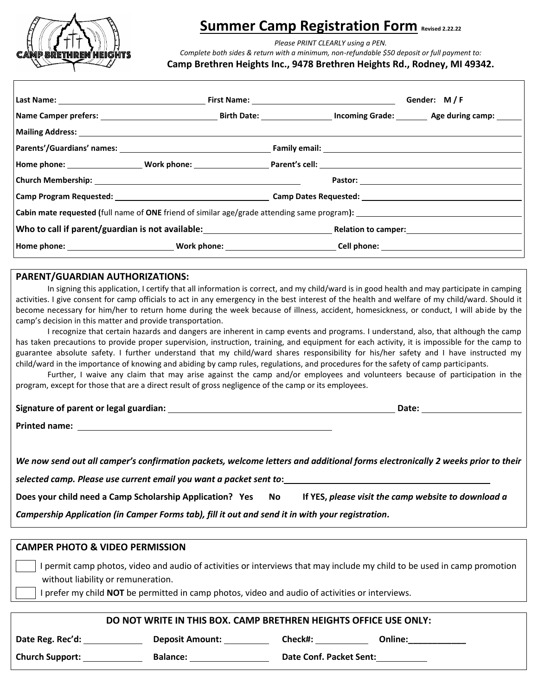

## **Summer Camp Registration Form Revised 2.22.22**

*Please PRINT CLEARLY using a PEN.* 

*Complete both sides & return with a minimum, non-refundable \$50 deposit or full payment to:*

**Camp Brethren Heights Inc., 9478 Brethren Heights Rd., Rodney, MI 49342.**

|                                                                                                    |  |  |  | Gender: M/F |  |  |
|----------------------------------------------------------------------------------------------------|--|--|--|-------------|--|--|
|                                                                                                    |  |  |  |             |  |  |
|                                                                                                    |  |  |  |             |  |  |
|                                                                                                    |  |  |  |             |  |  |
|                                                                                                    |  |  |  |             |  |  |
|                                                                                                    |  |  |  |             |  |  |
|                                                                                                    |  |  |  |             |  |  |
| <b>Cabin mate requested (full name of ONE friend of similar age/grade attending same program):</b> |  |  |  |             |  |  |
|                                                                                                    |  |  |  |             |  |  |
|                                                                                                    |  |  |  |             |  |  |

## **PARENT/GUARDIAN AUTHORIZATIONS:**

In signing this application, I certify that all information is correct, and my child/ward is in good health and may participate in camping activities. I give consent for camp officials to act in any emergency in the best interest of the health and welfare of my child/ward. Should it become necessary for him/her to return home during the week because of illness, accident, homesickness, or conduct, I will abide by the camp's decision in this matter and provide transportation.

I recognize that certain hazards and dangers are inherent in camp events and programs. I understand, also, that although the camp has taken precautions to provide proper supervision, instruction, training, and equipment for each activity, it is impossible for the camp to guarantee absolute safety. I further understand that my child/ward shares responsibility for his/her safety and I have instructed my child/ward in the importance of knowing and abiding by camp rules, regulations, and procedures for the safety of camp participants.

Further, I waive any claim that may arise against the camp and/or employees and volunteers because of participation in the program, except for those that are a direct result of gross negligence of the camp or its employees.

## **Signature of parent or legal guardian: Date:**

**Printed name:**

| We now send out all camper's confirmation packets, welcome letters and additional forms electronically 2 weeks prior to their |
|-------------------------------------------------------------------------------------------------------------------------------|
| selected camp. Please use current email you want a packet sent to:                                                            |

**Does your child need a Camp Scholarship Application? Yes No If YES,** *please visit the camp website to download a* 

*Campership Application (in Camper Forms tab), fill it out and send it in with your registration.*

| <b>CAMPER PHOTO &amp; VIDEO PERMISSION</b>                                                                                                                                                                                                                      |                        |         |                         |  |  |  |  |
|-----------------------------------------------------------------------------------------------------------------------------------------------------------------------------------------------------------------------------------------------------------------|------------------------|---------|-------------------------|--|--|--|--|
| permit camp photos, video and audio of activities or interviews that may include my child to be used in camp promotion<br>without liability or remuneration.<br>I prefer my child NOT be permitted in camp photos, video and audio of activities or interviews. |                        |         |                         |  |  |  |  |
|                                                                                                                                                                                                                                                                 |                        |         |                         |  |  |  |  |
| DO NOT WRITE IN THIS BOX. CAMP BRETHREN HEIGHTS OFFICE USE ONLY:                                                                                                                                                                                                |                        |         |                         |  |  |  |  |
| Date Reg. Rec'd:                                                                                                                                                                                                                                                | <b>Deposit Amount:</b> | Check#: | Online:                 |  |  |  |  |
| <b>Church Support:</b>                                                                                                                                                                                                                                          | <b>Balance:</b>        |         | Date Conf. Packet Sent: |  |  |  |  |